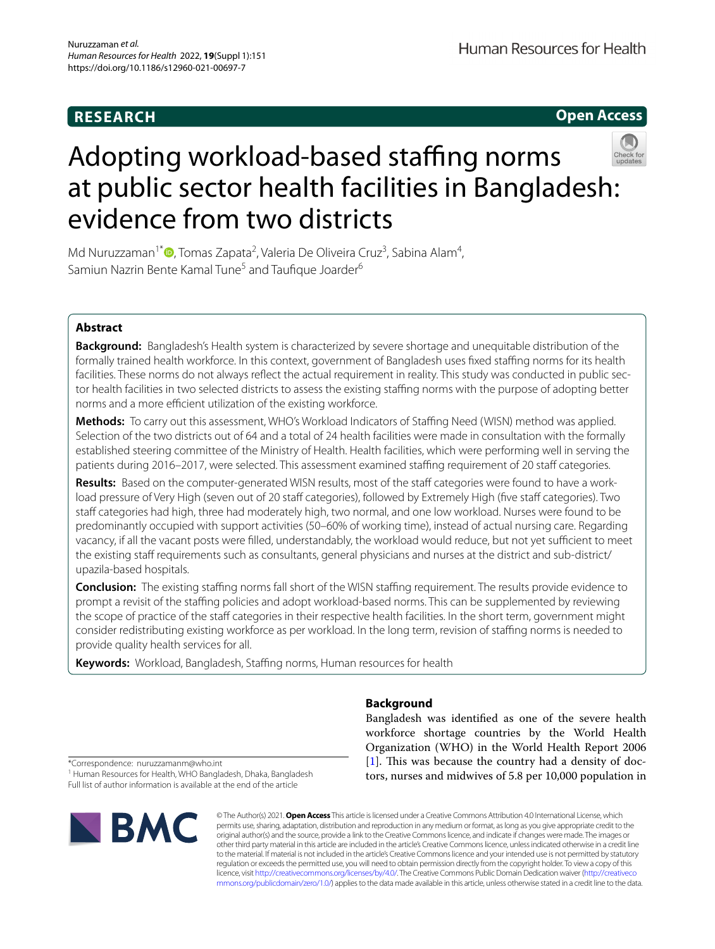# **RESEARCH**

**Open Access**



# Adopting workload-based staffing norms at public sector health facilities in Bangladesh: evidence from two districts

Md Nuruzzaman<sup>1\*</sup> $\bullet$ [,](http://orcid.org/0000-0003-2568-662X) Tomas Zapata<sup>2</sup>, Valeria De Oliveira Cruz<sup>3</sup>, Sabina Alam<sup>4</sup>, Samiun Nazrin Bente Kamal Tune<sup>5</sup> and Taufique Joarder<sup>6</sup>

# **Abstract**

**Background:** Bangladesh's Health system is characterized by severe shortage and unequitable distribution of the formally trained health workforce. In this context, government of Bangladesh uses fxed stafng norms for its health facilities. These norms do not always refect the actual requirement in reality. This study was conducted in public sector health facilities in two selected districts to assess the existing staffing norms with the purpose of adopting better norms and a more efficient utilization of the existing workforce.

**Methods:** To carry out this assessment, WHO's Workload Indicators of Staffing Need (WISN) method was applied. Selection of the two districts out of 64 and a total of 24 health facilities were made in consultation with the formally established steering committee of the Ministry of Health. Health facilities, which were performing well in serving the patients during 2016–2017, were selected. This assessment examined staffing requirement of 20 staff categories.

**Results:** Based on the computer-generated WISN results, most of the staff categories were found to have a workload pressure of Very High (seven out of 20 staff categories), followed by Extremely High (five staff categories). Two staff categories had high, three had moderately high, two normal, and one low workload. Nurses were found to be predominantly occupied with support activities (50–60% of working time), instead of actual nursing care. Regarding vacancy, if all the vacant posts were filled, understandably, the workload would reduce, but not yet sufficient to meet the existing staff requirements such as consultants, general physicians and nurses at the district and sub-district/ upazila-based hospitals.

**Conclusion:** The existing staffing norms fall short of the WISN staffing requirement. The results provide evidence to prompt a revisit of the stafng policies and adopt workload-based norms. This can be supplemented by reviewing the scope of practice of the staff categories in their respective health facilities. In the short term, government might consider redistributing existing workforce as per workload. In the long term, revision of stafng norms is needed to provide quality health services for all.

**Keywords:** Workload, Bangladesh, Stafng norms, Human resources for health

# **Background**

Bangladesh was identifed as one of the severe health workforce shortage countries by the World Health Organization (WHO) in the World Health Report 2006  $[1]$  $[1]$ . This was because the country had a density of doctors, nurses and midwives of 5.8 per 10,000 population in

\*Correspondence: nuruzzamanm@who.int

<sup>1</sup> Human Resources for Health, WHO Bangladesh, Dhaka, Bangladesh Full list of author information is available at the end of the article



© The Author(s) 2021. **Open Access** This article is licensed under a Creative Commons Attribution 4.0 International License, which permits use, sharing, adaptation, distribution and reproduction in any medium or format, as long as you give appropriate credit to the original author(s) and the source, provide a link to the Creative Commons licence, and indicate if changes were made. The images or other third party material in this article are included in the article's Creative Commons licence, unless indicated otherwise in a credit line to the material. If material is not included in the article's Creative Commons licence and your intended use is not permitted by statutory regulation or exceeds the permitted use, you will need to obtain permission directly from the copyright holder. To view a copy of this licence, visit [http://creativecommons.org/licenses/by/4.0/.](http://creativecommons.org/licenses/by/4.0/) The Creative Commons Public Domain Dedication waiver ([http://creativeco](http://creativecommons.org/publicdomain/zero/1.0/) [mmons.org/publicdomain/zero/1.0/](http://creativecommons.org/publicdomain/zero/1.0/)) applies to the data made available in this article, unless otherwise stated in a credit line to the data.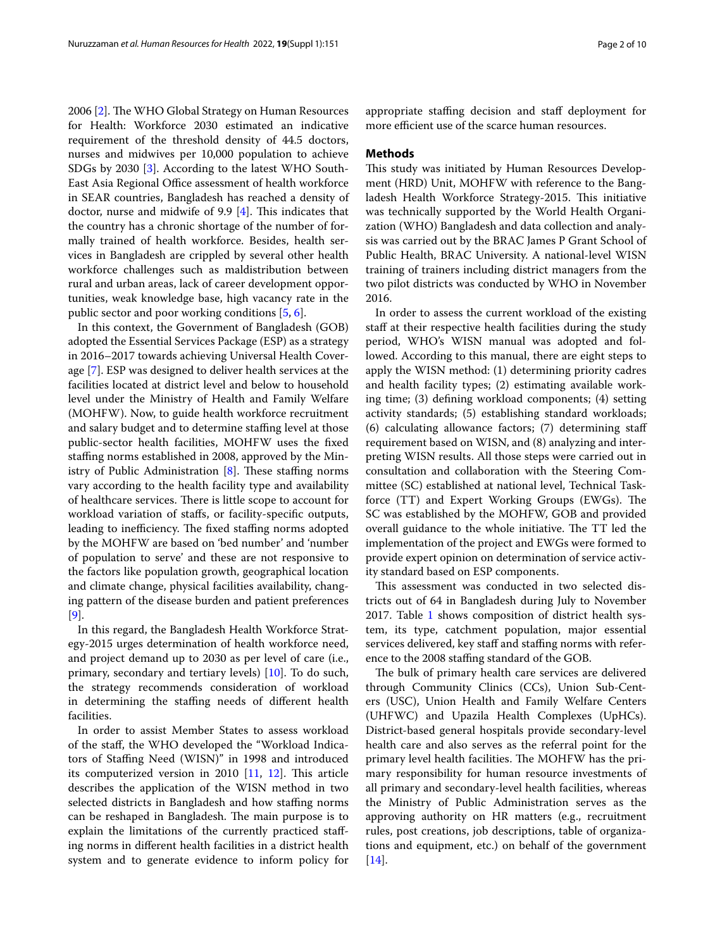2006 [[2\]](#page-8-1). The WHO Global Strategy on Human Resources for Health: Workforce 2030 estimated an indicative requirement of the threshold density of 44.5 doctors, nurses and midwives per 10,000 population to achieve SDGs by 2030 [\[3](#page-8-2)]. According to the latest WHO South-East Asia Regional Office assessment of health workforce in SEAR countries, Bangladesh has reached a density of doctor, nurse and midwife of 9.9  $[4]$ . This indicates that the country has a chronic shortage of the number of formally trained of health workforce. Besides, health services in Bangladesh are crippled by several other health workforce challenges such as maldistribution between rural and urban areas, lack of career development opportunities, weak knowledge base, high vacancy rate in the public sector and poor working conditions [[5](#page-8-4), [6\]](#page-8-5).

In this context, the Government of Bangladesh (GOB) adopted the Essential Services Package (ESP) as a strategy in 2016–2017 towards achieving Universal Health Coverage [[7\]](#page-8-6). ESP was designed to deliver health services at the facilities located at district level and below to household level under the Ministry of Health and Family Welfare (MOHFW). Now, to guide health workforce recruitment and salary budget and to determine staffing level at those public-sector health facilities, MOHFW uses the fxed staffing norms established in 2008, approved by the Ministry of Public Administration  $[8]$  $[8]$ . These staffing norms vary according to the health facility type and availability of healthcare services. There is little scope to account for workload variation of stafs, or facility-specifc outputs, leading to inefficiency. The fixed staffing norms adopted by the MOHFW are based on 'bed number' and 'number of population to serve' and these are not responsive to the factors like population growth, geographical location and climate change, physical facilities availability, changing pattern of the disease burden and patient preferences [[9\]](#page-8-8).

In this regard, the Bangladesh Health Workforce Strategy-2015 urges determination of health workforce need, and project demand up to 2030 as per level of care (i.e., primary, secondary and tertiary levels) [[10](#page-8-9)]. To do such, the strategy recommends consideration of workload in determining the staffing needs of different health facilities.

In order to assist Member States to assess workload of the staf, the WHO developed the "Workload Indicators of Stafng Need (WISN)" in 1998 and introduced its computerized version in 2010  $[11, 12]$  $[11, 12]$  $[11, 12]$  $[11, 12]$  $[11, 12]$ . This article describes the application of the WISN method in two selected districts in Bangladesh and how staffing norms can be reshaped in Bangladesh. The main purpose is to explain the limitations of the currently practiced stafing norms in diferent health facilities in a district health system and to generate evidence to inform policy for

## **Methods**

This study was initiated by Human Resources Development (HRD) Unit, MOHFW with reference to the Bangladesh Health Workforce Strategy-2015. This initiative was technically supported by the World Health Organization (WHO) Bangladesh and data collection and analysis was carried out by the BRAC James P Grant School of Public Health, BRAC University. A national-level WISN training of trainers including district managers from the two pilot districts was conducted by WHO in November 2016.

In order to assess the current workload of the existing staff at their respective health facilities during the study period, WHO's WISN manual was adopted and followed. According to this manual, there are eight steps to apply the WISN method: (1) determining priority cadres and health facility types; (2) estimating available working time; (3) defning workload components; (4) setting activity standards; (5) establishing standard workloads; (6) calculating allowance factors; (7) determining staf requirement based on WISN, and (8) analyzing and interpreting WISN results. All those steps were carried out in consultation and collaboration with the Steering Committee (SC) established at national level, Technical Taskforce (TT) and Expert Working Groups (EWGs). The SC was established by the MOHFW, GOB and provided overall guidance to the whole initiative. The TT led the implementation of the project and EWGs were formed to provide expert opinion on determination of service activity standard based on ESP components.

This assessment was conducted in two selected districts out of 64 in Bangladesh during July to November 20[1](#page-2-0)7. Table 1 shows composition of district health system, its type, catchment population, major essential services delivered, key staff and staffing norms with reference to the 2008 stafng standard of the GOB.

The bulk of primary health care services are delivered through Community Clinics (CCs), Union Sub-Centers (USC), Union Health and Family Welfare Centers (UHFWC) and Upazila Health Complexes (UpHCs). District-based general hospitals provide secondary-level health care and also serves as the referral point for the primary level health facilities. The MOHFW has the primary responsibility for human resource investments of all primary and secondary-level health facilities, whereas the Ministry of Public Administration serves as the approving authority on HR matters (e.g., recruitment rules, post creations, job descriptions, table of organizations and equipment, etc.) on behalf of the government [[14\]](#page-8-12).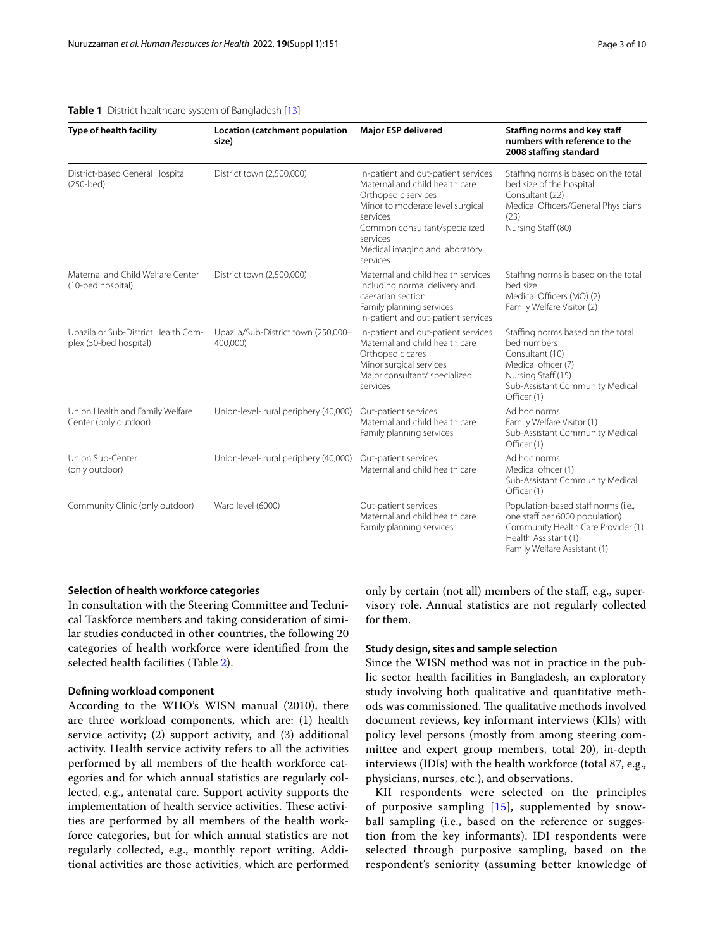## <span id="page-2-0"></span>**Table 1** District healthcare system of Bangladesh [\[13\]](#page-8-13)

| Type of health facility                                       | <b>Major ESP delivered</b><br>Location (catchment population<br>size)                                                                                                                                                                                                |                                                                                                                                                                   | Staffing norms and key staff<br>numbers with reference to the<br>2008 staffing standard                                                                             |  |  |
|---------------------------------------------------------------|----------------------------------------------------------------------------------------------------------------------------------------------------------------------------------------------------------------------------------------------------------------------|-------------------------------------------------------------------------------------------------------------------------------------------------------------------|---------------------------------------------------------------------------------------------------------------------------------------------------------------------|--|--|
| District-based General Hospital<br>$(250 - bed)$              | District town (2,500,000)<br>In-patient and out-patient services<br>Maternal and child health care<br>Orthopedic services<br>Minor to moderate level surgical<br>services<br>Common consultant/specialized<br>services<br>Medical imaging and laboratory<br>services |                                                                                                                                                                   | Staffing norms is based on the total<br>bed size of the hospital<br>Consultant (22)<br>Medical Officers/General Physicians<br>(23)<br>Nursing Staff (80)            |  |  |
| Maternal and Child Welfare Center<br>(10-bed hospital)        | Maternal and child health services<br>District town (2,500,000)<br>including normal delivery and<br>caesarian section<br>Family planning services<br>In-patient and out-patient services                                                                             |                                                                                                                                                                   | Staffing norms is based on the total<br>bed size<br>Medical Officers (MO) (2)<br>Family Welfare Visitor (2)                                                         |  |  |
| Upazila or Sub-District Health Com-<br>plex (50-bed hospital) | Upazila/Sub-District town (250,000-<br>400,000)                                                                                                                                                                                                                      | In-patient and out-patient services<br>Maternal and child health care<br>Orthopedic cares<br>Minor surgical services<br>Major consultant/ specialized<br>services | Staffing norms based on the total<br>bed numbers<br>Consultant (10)<br>Medical officer (7)<br>Nursing Staff (15)<br>Sub-Assistant Community Medical<br>Officer (1)  |  |  |
| Union Health and Family Welfare<br>Center (only outdoor)      | Union-level- rural periphery (40,000)                                                                                                                                                                                                                                | Out-patient services<br>Maternal and child health care<br>Family planning services                                                                                | Ad hoc norms<br>Family Welfare Visitor (1)<br>Sub-Assistant Community Medical<br>Officer (1)                                                                        |  |  |
| Union Sub-Center<br>(only outdoor)                            | Union-level- rural periphery (40,000)                                                                                                                                                                                                                                | Out-patient services<br>Maternal and child health care                                                                                                            | Ad hoc norms<br>Medical officer (1)<br>Sub-Assistant Community Medical<br>Officer (1)                                                                               |  |  |
| Community Clinic (only outdoor)                               | Ward level (6000)                                                                                                                                                                                                                                                    | Out-patient services<br>Maternal and child health care<br>Family planning services                                                                                | Population-based staff norms (i.e.,<br>one staff per 6000 population)<br>Community Health Care Provider (1)<br>Health Assistant (1)<br>Family Welfare Assistant (1) |  |  |

## **Selection of health workforce categories**

In consultation with the Steering Committee and Technical Taskforce members and taking consideration of similar studies conducted in other countries, the following 20 categories of health workforce were identifed from the selected health facilities (Table [2\)](#page-3-0).

## **Defning workload component**

According to the WHO's WISN manual (2010), there are three workload components, which are: (1) health service activity; (2) support activity, and (3) additional activity. Health service activity refers to all the activities performed by all members of the health workforce categories and for which annual statistics are regularly collected, e.g., antenatal care. Support activity supports the implementation of health service activities. These activities are performed by all members of the health workforce categories, but for which annual statistics are not regularly collected, e.g., monthly report writing. Additional activities are those activities, which are performed only by certain (not all) members of the staf, e.g., supervisory role. Annual statistics are not regularly collected for them.

## **Study design, sites and sample selection**

Since the WISN method was not in practice in the public sector health facilities in Bangladesh, an exploratory study involving both qualitative and quantitative methods was commissioned. The qualitative methods involved document reviews, key informant interviews (KIIs) with policy level persons (mostly from among steering committee and expert group members, total 20), in-depth interviews (IDIs) with the health workforce (total 87, e.g., physicians, nurses, etc.), and observations.

KII respondents were selected on the principles of purposive sampling [[15](#page-9-0)], supplemented by snowball sampling (i.e., based on the reference or suggestion from the key informants). IDI respondents were selected through purposive sampling, based on the respondent's seniority (assuming better knowledge of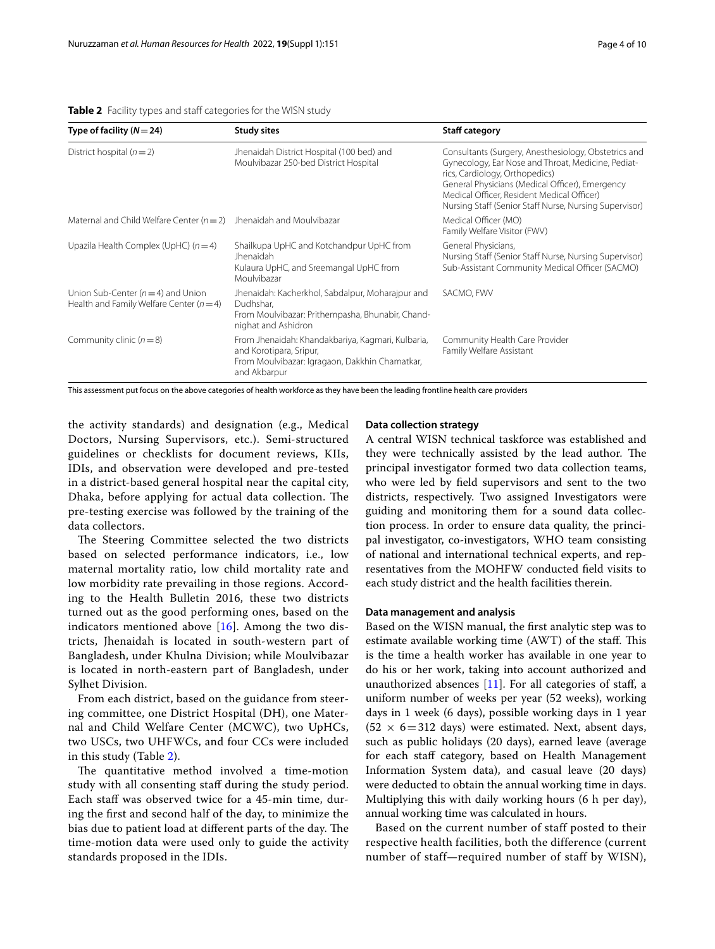| Type of facility $(N=24)$                                                              | <b>Study sites</b>                                                                                                                             | <b>Staff category</b>                                                                                                                                                                                                                                                                                   |
|----------------------------------------------------------------------------------------|------------------------------------------------------------------------------------------------------------------------------------------------|---------------------------------------------------------------------------------------------------------------------------------------------------------------------------------------------------------------------------------------------------------------------------------------------------------|
| District hospital $(n=2)$                                                              | Jhenaidah District Hospital (100 bed) and<br>Moulvibazar 250-bed District Hospital                                                             | Consultants (Surgery, Anesthesiology, Obstetrics and<br>Gynecology, Ear Nose and Throat, Medicine, Pediat-<br>rics, Cardiology, Orthopedics)<br>General Physicians (Medical Officer), Emergency<br>Medical Officer, Resident Medical Officer)<br>Nursing Staff (Senior Staff Nurse, Nursing Supervisor) |
| Maternal and Child Welfare Center ( $n = 2$ )                                          | Jhenaidah and Moulvibazar                                                                                                                      | Medical Officer (MO)<br>Family Welfare Visitor (FWV)                                                                                                                                                                                                                                                    |
| Upazila Health Complex (UpHC) $(n=4)$                                                  | Shailkupa UpHC and Kotchandpur UpHC from<br>Jhenaidah<br>Kulaura UpHC, and Sreemangal UpHC from<br>Moulvibazar                                 | General Physicians,<br>Nursing Staff (Senior Staff Nurse, Nursing Supervisor)<br>Sub-Assistant Community Medical Officer (SACMO)                                                                                                                                                                        |
| Union Sub-Center ( $n = 4$ ) and Union<br>Health and Family Welfare Center ( $n = 4$ ) | Jhenaidah: Kacherkhol, Sabdalpur, Moharajpur and<br>Dudhshar.<br>From Moulvibazar: Prithempasha, Bhunabir, Chand-<br>nighat and Ashidron       | SACMO, FWV                                                                                                                                                                                                                                                                                              |
| Community clinic $(n=8)$                                                               | From Jhenaidah: Khandakbariya, Kagmari, Kulbaria,<br>and Korotipara, Sripur,<br>From Moulvibazar: Igragaon, Dakkhin Chamatkar,<br>and Akbarpur | Community Health Care Provider<br>Family Welfare Assistant                                                                                                                                                                                                                                              |

<span id="page-3-0"></span>**Table 2** Facility types and staff categories for the WISN study

This assessment put focus on the above categories of health workforce as they have been the leading frontline health care providers

the activity standards) and designation (e.g., Medical Doctors, Nursing Supervisors, etc.). Semi-structured guidelines or checklists for document reviews, KIIs, IDIs, and observation were developed and pre-tested in a district-based general hospital near the capital city, Dhaka, before applying for actual data collection. The pre-testing exercise was followed by the training of the data collectors.

The Steering Committee selected the two districts based on selected performance indicators, i.e., low maternal mortality ratio, low child mortality rate and low morbidity rate prevailing in those regions. According to the Health Bulletin 2016, these two districts turned out as the good performing ones, based on the indicators mentioned above  $[16]$  $[16]$ . Among the two districts, Jhenaidah is located in south-western part of Bangladesh, under Khulna Division; while Moulvibazar is located in north-eastern part of Bangladesh, under Sylhet Division.

From each district, based on the guidance from steering committee, one District Hospital (DH), one Maternal and Child Welfare Center (MCWC), two UpHCs, two USCs, two UHFWCs, and four CCs were included in this study (Table [2\)](#page-3-0).

The quantitative method involved a time-motion study with all consenting staff during the study period. Each staff was observed twice for a 45-min time, during the frst and second half of the day, to minimize the bias due to patient load at different parts of the day. The time-motion data were used only to guide the activity standards proposed in the IDIs.

## **Data collection strategy**

A central WISN technical taskforce was established and they were technically assisted by the lead author. The principal investigator formed two data collection teams, who were led by feld supervisors and sent to the two districts, respectively. Two assigned Investigators were guiding and monitoring them for a sound data collection process. In order to ensure data quality, the principal investigator, co-investigators, WHO team consisting of national and international technical experts, and representatives from the MOHFW conducted feld visits to each study district and the health facilities therein.

## **Data management and analysis**

Based on the WISN manual, the frst analytic step was to estimate available working time (AWT) of the staff. This is the time a health worker has available in one year to do his or her work, taking into account authorized and unauthorized absences [[11\]](#page-8-10). For all categories of staf, a uniform number of weeks per year (52 weeks), working days in 1 week (6 days), possible working days in 1 year  $(52 \times 6=312 \text{ days})$  were estimated. Next, absent days, such as public holidays (20 days), earned leave (average for each staff category, based on Health Management Information System data), and casual leave (20 days) were deducted to obtain the annual working time in days. Multiplying this with daily working hours (6 h per day), annual working time was calculated in hours.

Based on the current number of staff posted to their respective health facilities, both the difference (current number of staff—required number of staff by WISN),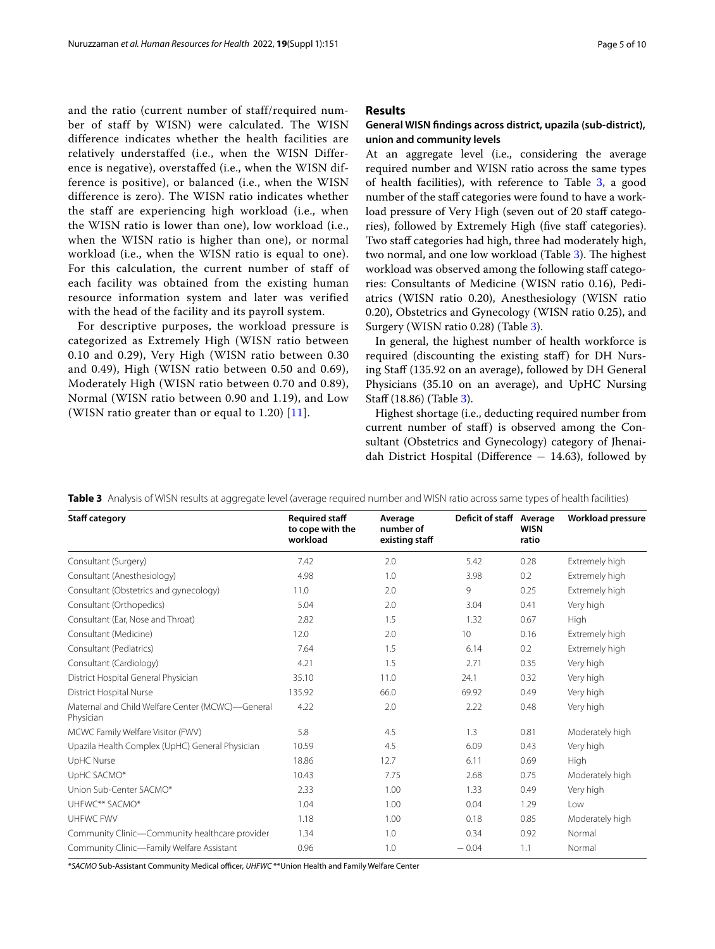and the ratio (current number of staff/required number of staff by WISN) were calculated. The WISN difference indicates whether the health facilities are relatively understaffed (i.e., when the WISN Difference is negative), overstaffed (i.e., when the WISN difference is positive), or balanced (i.e., when the WISN difference is zero). The WISN ratio indicates whether the staff are experiencing high workload (i.e., when the WISN ratio is lower than one), low workload (i.e., when the WISN ratio is higher than one), or normal workload (i.e., when the WISN ratio is equal to one). For this calculation, the current number of staff of each facility was obtained from the existing human resource information system and later was verified with the head of the facility and its payroll system.

For descriptive purposes, the workload pressure is categorized as Extremely High (WISN ratio between 0.10 and 0.29), Very High (WISN ratio between 0.30 and 0.49), High (WISN ratio between 0.50 and 0.69), Moderately High (WISN ratio between 0.70 and 0.89), Normal (WISN ratio between 0.90 and 1.19), and Low (WISN ratio greater than or equal to 1.20) [\[11\]](#page-8-10).

## **Results**

## **General WISN fndings across district, upazila (sub‑district), union and community levels**

At an aggregate level (i.e., considering the average required number and WISN ratio across the same types of health facilities), with reference to Table [3](#page-4-0), a good number of the staff categories were found to have a workload pressure of Very High (seven out of 20 staff categories), followed by Extremely High (five staff categories). Two staff categories had high, three had moderately high, two normal, and one low workload (Table [3](#page-4-0)). The highest workload was observed among the following staff categories: Consultants of Medicine (WISN ratio 0.16), Pediatrics (WISN ratio 0.20), Anesthesiology (WISN ratio 0.20), Obstetrics and Gynecology (WISN ratio 0.25), and Surgery (WISN ratio 0.28) (Table [3](#page-4-0)).

In general, the highest number of health workforce is required (discounting the existing staf) for DH Nursing Staff (135.92 on an average), followed by DH General Physicians (35.10 on an average), and UpHC Nursing Staf (18.86) (Table [3\)](#page-4-0).

Highest shortage (i.e., deducting required number from current number of staf) is observed among the Consultant (Obstetrics and Gynecology) category of Jhenaidah District Hospital (Diference − 14.63), followed by

<span id="page-4-0"></span>**Table 3** Analysis of WISN results at aggregate level (average required number and WISN ratio across same types of health facilities)

| <b>Staff category</b>                                         | <b>Required staff</b><br>to cope with the<br>workload | Average<br>number of<br>existing staff | Deficit of staff Average | <b>WISN</b><br>ratio | <b>Workload pressure</b> |
|---------------------------------------------------------------|-------------------------------------------------------|----------------------------------------|--------------------------|----------------------|--------------------------|
| Consultant (Surgery)                                          | 7.42                                                  | 2.0                                    | 5.42                     | 0.28                 | Extremely high           |
| Consultant (Anesthesiology)                                   | 4.98                                                  | 1.0                                    | 3.98                     | 0.2                  | Extremely high           |
| Consultant (Obstetrics and gynecology)                        | 11.0                                                  | 2.0                                    | 9                        | 0.25                 | Extremely high           |
| Consultant (Orthopedics)                                      | 5.04                                                  | 2.0                                    | 3.04                     | 0.41                 | Very high                |
| Consultant (Ear, Nose and Throat)                             | 2.82                                                  | 1.5                                    | 1.32                     | 0.67                 | High                     |
| Consultant (Medicine)                                         | 12.0                                                  | 2.0                                    | 10                       | 0.16                 | Extremely high           |
| Consultant (Pediatrics)                                       | 7.64                                                  | 1.5                                    | 6.14                     | 0.2                  | Extremely high           |
| Consultant (Cardiology)                                       | 4.21                                                  | 1.5                                    | 2.71                     | 0.35                 | Very high                |
| District Hospital General Physician                           | 35.10                                                 | 11.0                                   | 24.1                     | 0.32                 | Very high                |
| District Hospital Nurse                                       | 135.92                                                | 66.0                                   | 69.92                    | 0.49                 | Very high                |
| Maternal and Child Welfare Center (MCWC)-General<br>Physician | 4.22                                                  | 2.0                                    | 2.22                     | 0.48                 | Very high                |
| MCWC Family Welfare Visitor (FWV)                             | 5.8                                                   | 4.5                                    | 1.3                      | 0.81                 | Moderately high          |
| Upazila Health Complex (UpHC) General Physician               | 10.59                                                 | 4.5                                    | 6.09                     | 0.43                 | Very high                |
| UpHC Nurse                                                    | 18.86                                                 | 12.7                                   | 6.11                     | 0.69                 | High                     |
| UpHC SACMO*                                                   | 10.43                                                 | 7.75                                   | 2.68                     | 0.75                 | Moderately high          |
| Union Sub-Center SACMO*                                       | 2.33                                                  | 1.00                                   | 1.33                     | 0.49                 | Very high                |
| UHFWC** SACMO*                                                | 1.04                                                  | 1.00                                   | 0.04                     | 1.29                 | Low                      |
| UHFWC FWV                                                     | 1.18                                                  | 1.00                                   | 0.18                     | 0.85                 | Moderately high          |
| Community Clinic-Community healthcare provider                | 1.34                                                  | 1.0                                    | 0.34                     | 0.92                 | Normal                   |
| Community Clinic-Family Welfare Assistant                     | 0.96                                                  | 1.0                                    | $-0.04$                  | 1.1                  | Normal                   |

\*SACMO Sub-Assistant Community Medical officer, UHFWC<sup>\*\*</sup>Union Health and Family Welfare Center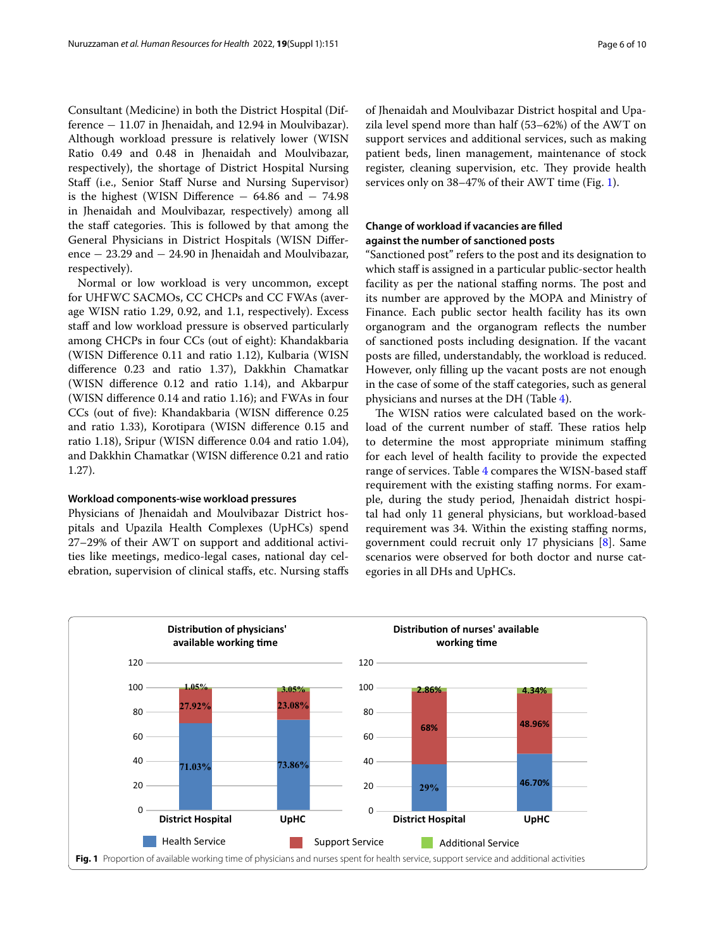Consultant (Medicine) in both the District Hospital (Difference − 11.07 in Jhenaidah, and 12.94 in Moulvibazar). Although workload pressure is relatively lower (WISN Ratio 0.49 and 0.48 in Jhenaidah and Moulvibazar, respectively), the shortage of District Hospital Nursing Staff (i.e., Senior Staff Nurse and Nursing Supervisor) is the highest (WISN Diference − 64.86 and − 74.98 in Jhenaidah and Moulvibazar, respectively) among all the staff categories. This is followed by that among the General Physicians in District Hospitals (WISN Diference − 23.29 and − 24.90 in Jhenaidah and Moulvibazar, respectively).

Normal or low workload is very uncommon, except for UHFWC SACMOs, CC CHCPs and CC FWAs (average WISN ratio 1.29, 0.92, and 1.1, respectively). Excess staff and low workload pressure is observed particularly among CHCPs in four CCs (out of eight): Khandakbaria (WISN Diference 0.11 and ratio 1.12), Kulbaria (WISN diference 0.23 and ratio 1.37), Dakkhin Chamatkar (WISN diference 0.12 and ratio 1.14), and Akbarpur (WISN diference 0.14 and ratio 1.16); and FWAs in four CCs (out of fve): Khandakbaria (WISN diference 0.25 and ratio 1.33), Korotipara (WISN diference 0.15 and ratio 1.18), Sripur (WISN diference 0.04 and ratio 1.04), and Dakkhin Chamatkar (WISN diference 0.21 and ratio 1.27).

## **Workload components‑wise workload pressures**

Physicians of Jhenaidah and Moulvibazar District hospitals and Upazila Health Complexes (UpHCs) spend 27–29% of their AWT on support and additional activities like meetings, medico-legal cases, national day celebration, supervision of clinical stafs, etc. Nursing stafs of Jhenaidah and Moulvibazar District hospital and Upazila level spend more than half (53–62%) of the AWT on support services and additional services, such as making patient beds, linen management, maintenance of stock register, cleaning supervision, etc. They provide health services only on 38–47% of their AWT time (Fig. [1\)](#page-5-0).

## **Change of workload if vacancies are flled against the number of sanctioned posts**

"Sanctioned post" refers to the post and its designation to which staff is assigned in a particular public-sector health facility as per the national staffing norms. The post and its number are approved by the MOPA and Ministry of Finance. Each public sector health facility has its own organogram and the organogram refects the number of sanctioned posts including designation. If the vacant posts are flled, understandably, the workload is reduced. However, only flling up the vacant posts are not enough in the case of some of the staff categories, such as general physicians and nurses at the DH (Table [4](#page-6-0)).

The WISN ratios were calculated based on the workload of the current number of staff. These ratios help to determine the most appropriate minimum staffing for each level of health facility to provide the expected range of services. Table [4](#page-6-0) compares the WISN-based staff requirement with the existing staffing norms. For example, during the study period, Jhenaidah district hospital had only 11 general physicians, but workload-based requirement was 34. Within the existing staffing norms, government could recruit only 17 physicians [[8\]](#page-8-7). Same scenarios were observed for both doctor and nurse categories in all DHs and UpHCs.

<span id="page-5-0"></span>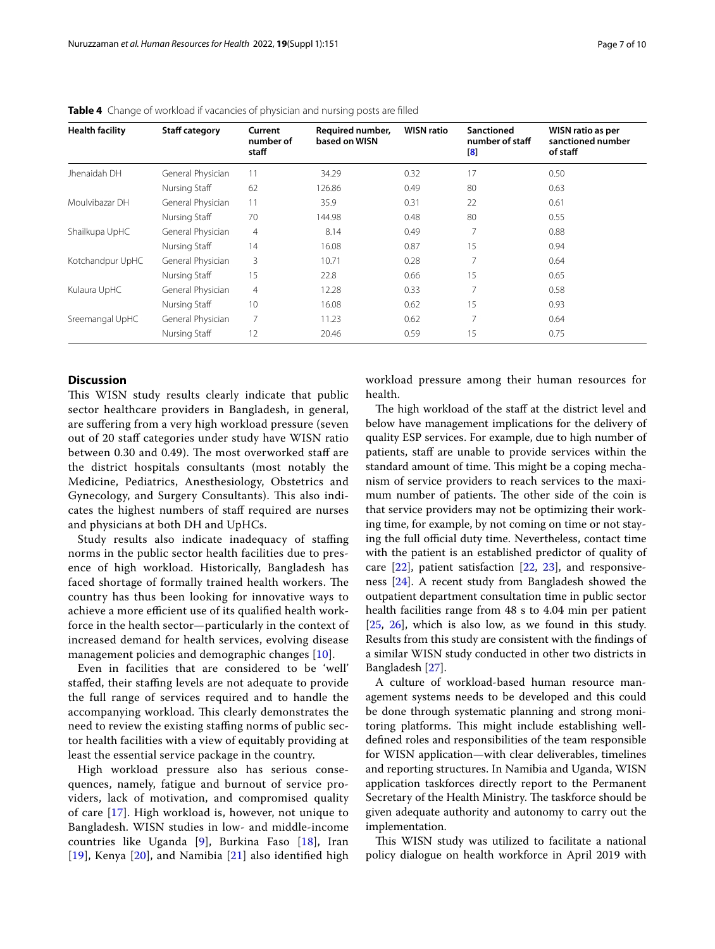| <b>Health facility</b> | <b>Staff category</b> | Current<br>number of<br>staff | Required number,<br>based on WISN | <b>WISN ratio</b> | <b>Sanctioned</b><br>number of staff<br>$\mathbf{B}$ | WISN ratio as per<br>sanctioned number<br>of staff |
|------------------------|-----------------------|-------------------------------|-----------------------------------|-------------------|------------------------------------------------------|----------------------------------------------------|
| Jhenaidah DH           | General Physician     | 11                            | 34.29                             | 0.32              | 17                                                   | 0.50                                               |
|                        | Nursing Staff         | 62                            | 126.86                            | 0.49              | 80                                                   | 0.63                                               |
| Moulvibazar DH         | General Physician     | 11                            | 35.9                              | 0.31              | 22                                                   | 0.61                                               |
|                        | Nursing Staff         | 70                            | 144.98                            | 0.48              | 80                                                   | 0.55                                               |
| Shailkupa UpHC         | General Physician     | $\overline{4}$                | 8.14                              | 0.49              | 7                                                    | 0.88                                               |
|                        | Nursing Staff         | 14                            | 16.08                             | 0.87              | 15                                                   | 0.94                                               |
| Kotchandpur UpHC       | General Physician     | 3                             | 10.71                             | 0.28              | 7                                                    | 0.64                                               |
|                        | Nursing Staff         | 15                            | 22.8                              | 0.66              | 15                                                   | 0.65                                               |
| Kulaura UpHC           | General Physician     | $\overline{4}$                | 12.28                             | 0.33              | 7                                                    | 0.58                                               |
|                        | Nursing Staff         | 10                            | 16.08                             | 0.62              | 15                                                   | 0.93                                               |
| Sreemangal UpHC        | General Physician     | 7                             | 11.23                             | 0.62              | 7                                                    | 0.64                                               |
|                        | Nursing Staff         | 12                            | 20.46                             | 0.59              | 15                                                   | 0.75                                               |

<span id="page-6-0"></span>**Table 4** Change of workload if vacancies of physician and nursing posts are flled

## **Discussion**

This WISN study results clearly indicate that public sector healthcare providers in Bangladesh, in general, are sufering from a very high workload pressure (seven out of 20 staf categories under study have WISN ratio between 0.30 and 0.49). The most overworked staff are the district hospitals consultants (most notably the Medicine, Pediatrics, Anesthesiology, Obstetrics and Gynecology, and Surgery Consultants). This also indicates the highest numbers of staf required are nurses and physicians at both DH and UpHCs.

Study results also indicate inadequacy of staffing norms in the public sector health facilities due to presence of high workload. Historically, Bangladesh has faced shortage of formally trained health workers. The country has thus been looking for innovative ways to achieve a more efficient use of its qualified health workforce in the health sector—particularly in the context of increased demand for health services, evolving disease management policies and demographic changes [[10\]](#page-8-9).

Even in facilities that are considered to be 'well' staffed, their staffing levels are not adequate to provide the full range of services required and to handle the accompanying workload. This clearly demonstrates the need to review the existing staffing norms of public sector health facilities with a view of equitably providing at least the essential service package in the country.

High workload pressure also has serious consequences, namely, fatigue and burnout of service providers, lack of motivation, and compromised quality of care [[17\]](#page-9-2). High workload is, however, not unique to Bangladesh. WISN studies in low- and middle-income countries like Uganda [[9\]](#page-8-8), Burkina Faso [[18](#page-9-3)], Iran  $[19]$  $[19]$  $[19]$ , Kenya  $[20]$  $[20]$ , and Namibia  $[21]$  $[21]$  also identified high workload pressure among their human resources for health.

The high workload of the staff at the district level and below have management implications for the delivery of quality ESP services. For example, due to high number of patients, staff are unable to provide services within the standard amount of time. This might be a coping mechanism of service providers to reach services to the maximum number of patients. The other side of the coin is that service providers may not be optimizing their working time, for example, by not coming on time or not staying the full official duty time. Nevertheless, contact time with the patient is an established predictor of quality of care [\[22](#page-9-7)], patient satisfaction [[22,](#page-9-7) [23](#page-9-8)], and responsiveness [[24](#page-9-9)]. A recent study from Bangladesh showed the outpatient department consultation time in public sector health facilities range from 48 s to 4.04 min per patient [[25,](#page-9-10) [26](#page-9-11)], which is also low, as we found in this study. Results from this study are consistent with the fndings of a similar WISN study conducted in other two districts in Bangladesh [[27\]](#page-9-12).

A culture of workload-based human resource management systems needs to be developed and this could be done through systematic planning and strong monitoring platforms. This might include establishing welldefned roles and responsibilities of the team responsible for WISN application—with clear deliverables, timelines and reporting structures. In Namibia and Uganda, WISN application taskforces directly report to the Permanent Secretary of the Health Ministry. The taskforce should be given adequate authority and autonomy to carry out the implementation.

This WISN study was utilized to facilitate a national policy dialogue on health workforce in April 2019 with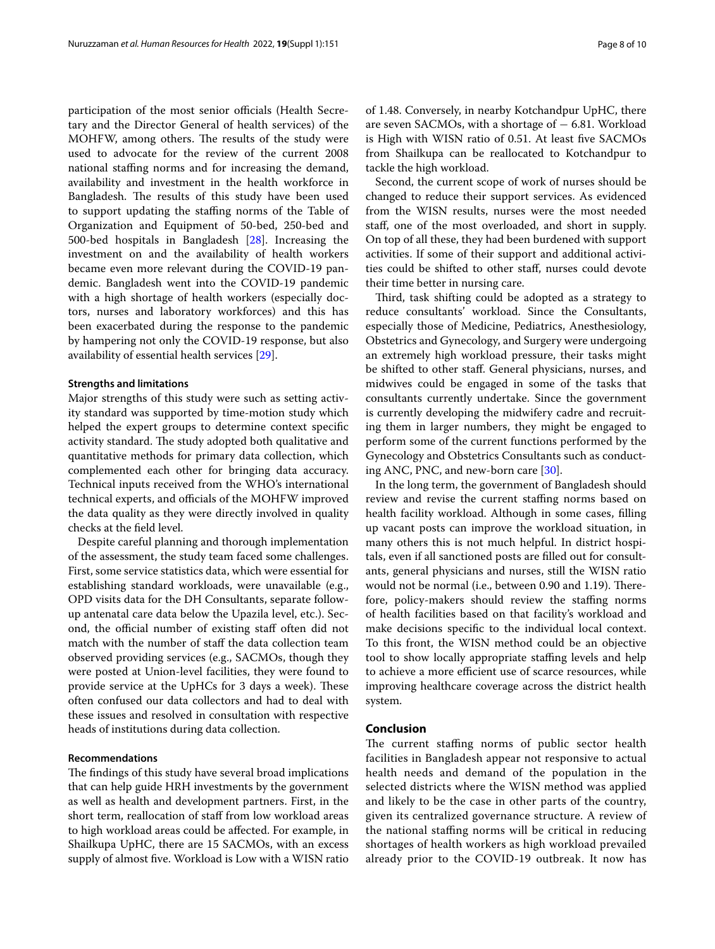participation of the most senior officials (Health Secretary and the Director General of health services) of the MOHFW, among others. The results of the study were used to advocate for the review of the current 2008 national staffing norms and for increasing the demand, availability and investment in the health workforce in Bangladesh. The results of this study have been used to support updating the stafng norms of the Table of Organization and Equipment of 50-bed, 250-bed and 500-bed hospitals in Bangladesh [[28\]](#page-9-13). Increasing the investment on and the availability of health workers became even more relevant during the COVID-19 pandemic. Bangladesh went into the COVID-19 pandemic with a high shortage of health workers (especially doctors, nurses and laboratory workforces) and this has been exacerbated during the response to the pandemic by hampering not only the COVID-19 response, but also availability of essential health services [\[29\]](#page-9-14).

## **Strengths and limitations**

Major strengths of this study were such as setting activity standard was supported by time-motion study which helped the expert groups to determine context specifc activity standard. The study adopted both qualitative and quantitative methods for primary data collection, which complemented each other for bringing data accuracy. Technical inputs received from the WHO's international technical experts, and officials of the MOHFW improved the data quality as they were directly involved in quality checks at the feld level.

Despite careful planning and thorough implementation of the assessment, the study team faced some challenges. First, some service statistics data, which were essential for establishing standard workloads, were unavailable (e.g., OPD visits data for the DH Consultants, separate followup antenatal care data below the Upazila level, etc.). Second, the official number of existing staff often did not match with the number of staff the data collection team observed providing services (e.g., SACMOs, though they were posted at Union-level facilities, they were found to provide service at the UpHCs for 3 days a week). These often confused our data collectors and had to deal with these issues and resolved in consultation with respective heads of institutions during data collection.

## **Recommendations**

The findings of this study have several broad implications that can help guide HRH investments by the government as well as health and development partners. First, in the short term, reallocation of staff from low workload areas to high workload areas could be afected. For example, in Shailkupa UpHC, there are 15 SACMOs, with an excess supply of almost fve. Workload is Low with a WISN ratio of 1.48. Conversely, in nearby Kotchandpur UpHC, there are seven SACMOs, with a shortage of  $-6.81$ . Workload is High with WISN ratio of 0.51. At least fve SACMOs from Shailkupa can be reallocated to Kotchandpur to tackle the high workload.

Second, the current scope of work of nurses should be changed to reduce their support services. As evidenced from the WISN results, nurses were the most needed staf, one of the most overloaded, and short in supply. On top of all these, they had been burdened with support activities. If some of their support and additional activities could be shifted to other staf, nurses could devote their time better in nursing care.

Third, task shifting could be adopted as a strategy to reduce consultants' workload. Since the Consultants, especially those of Medicine, Pediatrics, Anesthesiology, Obstetrics and Gynecology, and Surgery were undergoing an extremely high workload pressure, their tasks might be shifted to other staf. General physicians, nurses, and midwives could be engaged in some of the tasks that consultants currently undertake. Since the government is currently developing the midwifery cadre and recruiting them in larger numbers, they might be engaged to perform some of the current functions performed by the Gynecology and Obstetrics Consultants such as conducting ANC, PNC, and new-born care [[30](#page-9-15)].

In the long term, the government of Bangladesh should review and revise the current staffing norms based on health facility workload. Although in some cases, flling up vacant posts can improve the workload situation, in many others this is not much helpful. In district hospitals, even if all sanctioned posts are flled out for consultants, general physicians and nurses, still the WISN ratio would not be normal (i.e., between 0.90 and 1.19). Therefore, policy-makers should review the staffing norms of health facilities based on that facility's workload and make decisions specifc to the individual local context. To this front, the WISN method could be an objective tool to show locally appropriate stafng levels and help to achieve a more efficient use of scarce resources, while improving healthcare coverage across the district health system.

## **Conclusion**

The current staffing norms of public sector health facilities in Bangladesh appear not responsive to actual health needs and demand of the population in the selected districts where the WISN method was applied and likely to be the case in other parts of the country, given its centralized governance structure. A review of the national staffing norms will be critical in reducing shortages of health workers as high workload prevailed already prior to the COVID-19 outbreak. It now has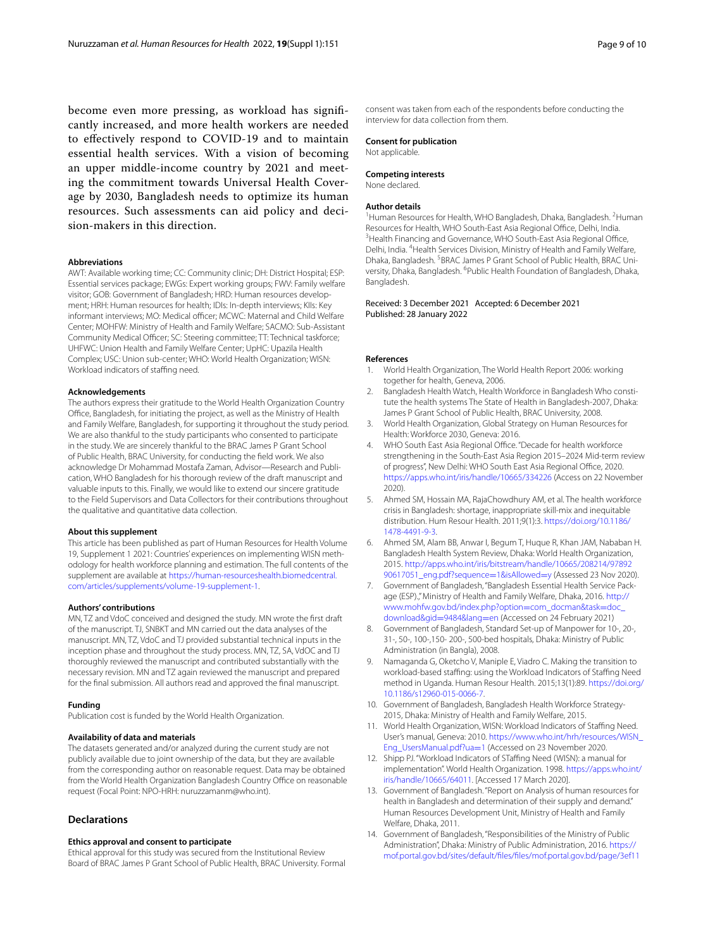become even more pressing, as workload has signifcantly increased, and more health workers are needed to efectively respond to COVID-19 and to maintain essential health services. With a vision of becoming an upper middle-income country by 2021 and meeting the commitment towards Universal Health Coverage by 2030, Bangladesh needs to optimize its human resources. Such assessments can aid policy and decision-makers in this direction.

#### **Abbreviations**

AWT: Available working time; CC: Community clinic; DH: District Hospital; ESP: Essential services package; EWGs: Expert working groups; FWV: Family welfare visitor; GOB: Government of Bangladesh; HRD: Human resources development; HRH: Human resources for health; IDIs: In-depth interviews; KIIs: Key informant interviews; MO: Medical officer; MCWC: Maternal and Child Welfare Center; MOHFW: Ministry of Health and Family Welfare; SACMO: Sub-Assistant Community Medical Officer; SC: Steering committee; TT: Technical taskforce; UHFWC: Union Health and Family Welfare Center; UpHC: Upazila Health Complex; USC: Union sub-center; WHO: World Health Organization; WISN: Workload indicators of staffing need.

#### **Acknowledgements**

The authors express their gratitude to the World Health Organization Country Office, Bangladesh, for initiating the project, as well as the Ministry of Health and Family Welfare, Bangladesh, for supporting it throughout the study period. We are also thankful to the study participants who consented to participate in the study. We are sincerely thankful to the BRAC James P Grant School of Public Health, BRAC University, for conducting the feld work. We also acknowledge Dr Mohammad Mostafa Zaman, Advisor—Research and Publication, WHO Bangladesh for his thorough review of the draft manuscript and valuable inputs to this. Finally, we would like to extend our sincere gratitude to the Field Supervisors and Data Collectors for their contributions throughout the qualitative and quantitative data collection.

#### **About this supplement**

This article has been published as part of Human Resources for Health Volume 19, Supplement 1 2021: Countries'experiences on implementing WISN methodology for health workforce planning and estimation. The full contents of the supplement are available at [https://human-resourceshealth.biomedcentral.](https://human-resourceshealth.biomedcentral.com/articles/supplements/volume-19-supplement-1) [com/articles/supplements/volume-19-supplement-1](https://human-resourceshealth.biomedcentral.com/articles/supplements/volume-19-supplement-1).

#### **Authors' contributions**

MN, TZ and VdoC conceived and designed the study. MN wrote the frst draft of the manuscript. TJ, SNBKT and MN carried out the data analyses of the manuscript. MN, TZ, VdoC and TJ provided substantial technical inputs in the inception phase and throughout the study process. MN, TZ, SA, VdOC and TJ thoroughly reviewed the manuscript and contributed substantially with the necessary revision. MN and TZ again reviewed the manuscript and prepared for the fnal submission. All authors read and approved the fnal manuscript.

#### **Funding**

Publication cost is funded by the World Health Organization.

## **Availability of data and materials**

The datasets generated and/or analyzed during the current study are not publicly available due to joint ownership of the data, but they are available from the corresponding author on reasonable request. Data may be obtained from the World Health Organization Bangladesh Country Office on reasonable request (Focal Point: NPO-HRH: nuruzzamanm@who.int).

## **Declarations**

#### **Ethics approval and consent to participate**

Ethical approval for this study was secured from the Institutional Review Board of BRAC James P Grant School of Public Health, BRAC University. Formal consent was taken from each of the respondents before conducting the interview for data collection from them.

## **Consent for publication**

Not applicable.

#### **Competing interests**

None declared.

#### **Author details**

<sup>1</sup> Human Resources for Health, WHO Bangladesh, Dhaka, Bangladesh. <sup>2</sup> Human Resources for Health, WHO South-East Asia Regional Office, Delhi, India. <sup>3</sup> Health Financing and Governance, WHO South-East Asia Regional Office, Delhi, India. <sup>4</sup> Health Services Division, Ministry of Health and Family Welfare, Dhaka, Bangladesh. <sup>5</sup> BRAC James P Grant School of Public Health, BRAC University, Dhaka, Bangladesh. <sup>6</sup>Public Health Foundation of Bangladesh, Dhaka, Bangladesh.

#### Received: 3 December 2021 Accepted: 6 December 2021 Published: 28 January 2022

## **References**

- <span id="page-8-0"></span>1. World Health Organization, The World Health Report 2006: working together for health, Geneva, 2006.
- <span id="page-8-1"></span>2. Bangladesh Health Watch, Health Workforce in Bangladesh Who constitute the health systems The State of Health in Bangladesh-2007, Dhaka: James P Grant School of Public Health, BRAC University, 2008.
- <span id="page-8-2"></span>3. World Health Organization, Global Strategy on Human Resources for Health: Workforce 2030, Geneva: 2016.
- <span id="page-8-3"></span>4. WHO South East Asia Regional Office. "Decade for health workforce strengthening in the South-East Asia Region 2015–2024 Mid-term review of progress", New Delhi: WHO South East Asia Regional Office, 2020. <https://apps.who.int/iris/handle/10665/334226>(Access on 22 November 2020).
- <span id="page-8-4"></span>5. Ahmed SM, Hossain MA, RajaChowdhury AM, et al. The health workforce crisis in Bangladesh: shortage, inappropriate skill-mix and inequitable distribution. Hum Resour Health. 2011;9(1):3. [https://doi.org/10.1186/](https://doi.org/10.1186/1478-4491-9-3) [1478-4491-9-3](https://doi.org/10.1186/1478-4491-9-3).
- <span id="page-8-5"></span>6. Ahmed SM, Alam BB, Anwar I, Begum T, Huque R, Khan JAM, Nababan H. Bangladesh Health System Review, Dhaka: World Health Organization, 2015. [http://apps.who.int/iris/bitstream/handle/10665/208214/97892](http://apps.who.int/iris/bitstream/handle/10665/208214/9789290617051_eng.pdf?sequence=1&isAllowed=y) [90617051\\_eng.pdf?sequence](http://apps.who.int/iris/bitstream/handle/10665/208214/9789290617051_eng.pdf?sequence=1&isAllowed=y)=1&isAllowed=y (Assessed 23 Nov 2020).
- <span id="page-8-6"></span>7. Government of Bangladesh, "Bangladesh Essential Health Service Package (ESP).," Ministry of Health and Family Welfare, Dhaka, 2016. [http://](http://www.mohfw.gov.bd/index.php?option=com_docman&task=doc_download&gid=9484&lang=en) [www.mohfw.gov.bd/index.php?option](http://www.mohfw.gov.bd/index.php?option=com_docman&task=doc_download&gid=9484&lang=en)=com\_docman&task=doc\_ download&gid=9484&lang=en (Accessed on 24 February 2021)
- <span id="page-8-7"></span>8. [Government of Bangladesh, Stan](http://www.mohfw.gov.bd/index.php?option=com_docman&task=doc_download&gid=9484&lang=en)dard Set-up of Manpower for 10-, 20-, 31-, 50-, 100-,150- 200-, 500-bed hospitals, Dhaka: Ministry of Public Administration (in Bangla), 2008.
- <span id="page-8-8"></span>9. Namaganda G, Oketcho V, Maniple E, Viadro C. Making the transition to workload-based stafng: using the Workload Indicators of Stafng Need method in Uganda. Human Resour Health. 2015;13(1):89. [https://doi.org/](https://doi.org/10.1186/s12960-015-0066-7) [10.1186/s12960-015-0066-7.](https://doi.org/10.1186/s12960-015-0066-7)
- <span id="page-8-9"></span>10. Government of Bangladesh, Bangladesh Health Workforce Strategy-2015, Dhaka: Ministry of Health and Family Welfare, 2015.
- <span id="page-8-10"></span>11. World Health Organization, WISN: Workload Indicators of Stafng Need. User's manual, Geneva: 2010. [https://www.who.int/hrh/resources/WISN\\_](https://www.who.int/hrh/resources/WISN_Eng_UsersManual.pdf?ua=1) [Eng\\_UsersManual.pdf?ua](https://www.who.int/hrh/resources/WISN_Eng_UsersManual.pdf?ua=1)=1 (Accessed on 23 November 2020.
- <span id="page-8-11"></span>12. Shipp PJ. "Workload Indicators of STaffing Need (WISN): a manual for implementation". World Health Organization. 1998. [https://apps.who.int/](https://apps.who.int/iris/handle/10665/64011) [iris/handle/10665/64011](https://apps.who.int/iris/handle/10665/64011). [Accessed 17 March 2020].
- <span id="page-8-13"></span>13. Government of Bangladesh. "Report on Analysis of human resources for health in Bangladesh and determination of their supply and demand." Human Resources Development Unit, Ministry of Health and Family Welfare, Dhaka, 2011.
- <span id="page-8-12"></span>14. Government of Bangladesh, "Responsibilities of the Ministry of Public Administration", Dhaka: Ministry of Public Administration, 2016. [https://](https://mof.portal.gov.bd/sites/default/files/files/mof.portal.gov.bd/page/3ef1111d_f0d6_41ea_aca9_6afb61228825/G-3_03_07_Public%20Admn_English.pdf) [mof.portal.gov.bd/sites/default/fles/fles/mof.portal.gov.bd/page/3ef11](https://mof.portal.gov.bd/sites/default/files/files/mof.portal.gov.bd/page/3ef1111d_f0d6_41ea_aca9_6afb61228825/G-3_03_07_Public%20Admn_English.pdf)